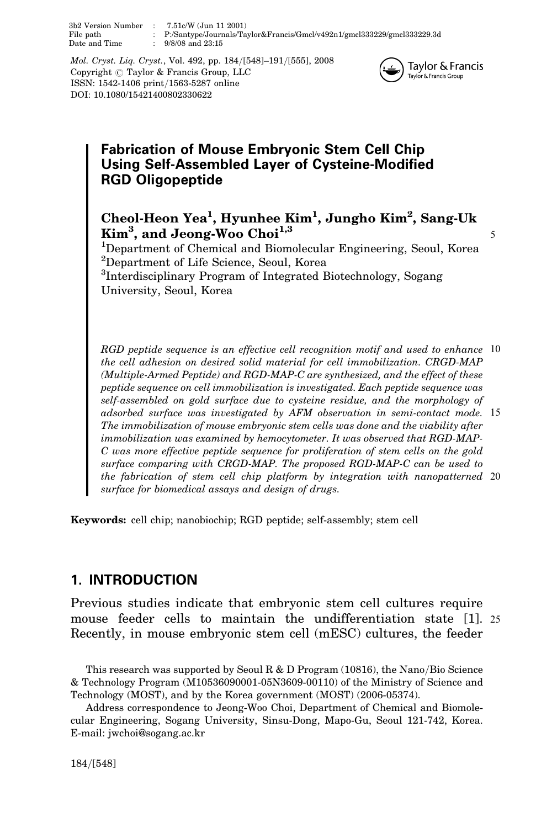3b2 Version Number : 7.51c/W (Jun 11 2001) File path : P:/Santype/Journals/Taylor&Francis/Gmcl/v492n1/gmcl333229/gmcl333229.3d  $9/8/08$  and  $23:15$ 

Mol. Cryst. Liq. Cryst., Vol. 492, pp. 184/[548]–191/[555], 2008 Copyright  $\odot$  Taylor & Francis Group, LLC ISSN: 1542-1406 print/1563-5287 online DOI: 10.1080/15421400802330622



# Fabrication of Mouse Embryonic Stem Cell Chip Using Self-Assembled Layer of Cysteine-Modified RGD Oligopeptide

Cheol-Heon Yea<sup>1</sup>, Hyunhee Kim<sup>1</sup>, Jungho Kim<sup>2</sup>, Sang-Uk  $\text{Kim}^3$ , and Jeong-Woo Choi<sup>1,3</sup>

<sup>1</sup>Department of Chemical and Biomolecular Engineering, Seoul, Korea 2 Department of Life Science, Seoul, Korea

<sup>3</sup>Interdisciplinary Program of Integrated Biotechnology, Sogang University, Seoul, Korea

RGD peptide sequence is an effective cell recognition motif and used to enhance 10 the cell adhesion on desired solid material for cell immobilization. CRGD-MAP (Multiple-Armed Peptide) and RGD-MAP-C are synthesized, and the effect of these peptide sequence on cell immobilization is investigated. Each peptide sequence was self-assembled on gold surface due to cysteine residue, and the morphology of adsorbed surface was investigated by AFM observation in semi-contact mode. 15 The immobilization of mouse embryonic stem cells was done and the viability after immobilization was examined by hemocytometer. It was observed that RGD-MAP-C was more effective peptide sequence for proliferation of stem cells on the gold surface comparing with CRGD-MAP. The proposed RGD-MAP-C can be used to the fabrication of stem cell chip platform by integration with nanopatterned 20 surface for biomedical assays and design of drugs.

Keywords: cell chip; nanobiochip; RGD peptide; self-assembly; stem cell

# 1. INTRODUCTION

Previous studies indicate that embryonic stem cell cultures require mouse feeder cells to maintain the undifferentiation state [1]. 25 Recently, in mouse embryonic stem cell (mESC) cultures, the feeder

This research was supported by Seoul R & D Program (10816), the Nano/Bio Science & Technology Program (M10536090001-05N3609-00110) of the Ministry of Science and Technology (MOST), and by the Korea government (MOST) (2006-05374).

Address correspondence to Jeong-Woo Choi, Department of Chemical and Biomolecular Engineering, Sogang University, Sinsu-Dong, Mapo-Gu, Seoul 121-742, Korea. E-mail: jwchoi@sogang.ac.kr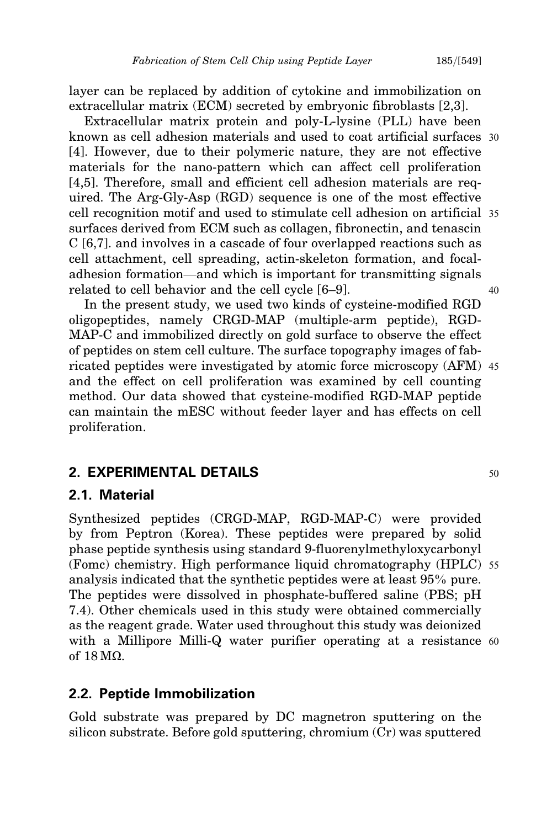layer can be replaced by addition of cytokine and immobilization on extracellular matrix (ECM) secreted by embryonic fibroblasts [2,3].

Extracellular matrix protein and poly-L-lysine (PLL) have been known as cell adhesion materials and used to coat artificial surfaces 30 [4]. However, due to their polymeric nature, they are not effective materials for the nano-pattern which can affect cell proliferation [4,5]. Therefore, small and efficient cell adhesion materials are required. The Arg-Gly-Asp (RGD) sequence is one of the most effective cell recognition motif and used to stimulate cell adhesion on artificial 35 surfaces derived from ECM such as collagen, fibronectin, and tenascin C [6,7]. and involves in a cascade of four overlapped reactions such as cell attachment, cell spreading, actin-skeleton formation, and focaladhesion formation—and which is important for transmitting signals related to cell behavior and the cell cycle [6–9].  $40$ 

In the present study, we used two kinds of cysteine-modified RGD oligopeptides, namely CRGD-MAP (multiple-arm peptide), RGD-MAP-C and immobilized directly on gold surface to observe the effect of peptides on stem cell culture. The surface topography images of fabricated peptides were investigated by atomic force microscopy (AFM) 45 and the effect on cell proliferation was examined by cell counting method. Our data showed that cysteine-modified RGD-MAP peptide can maintain the mESC without feeder layer and has effects on cell proliferation.

### **2. EXPERIMENTAL DETAILS** 50

#### 2.1. Material

Synthesized peptides (CRGD-MAP, RGD-MAP-C) were provided by from Peptron (Korea). These peptides were prepared by solid phase peptide synthesis using standard 9-fluorenylmethyloxycarbonyl (Fomc) chemistry. High performance liquid chromatography (HPLC) 55 analysis indicated that the synthetic peptides were at least 95% pure. The peptides were dissolved in phosphate-buffered saline (PBS; pH 7.4). Other chemicals used in this study were obtained commercially as the reagent grade. Water used throughout this study was deionized with a Millipore Milli-Q water purifier operating at a resistance 60 of 18 M*X*.

### 2.2. Peptide Immobilization

Gold substrate was prepared by DC magnetron sputtering on the silicon substrate. Before gold sputtering, chromium (Cr) was sputtered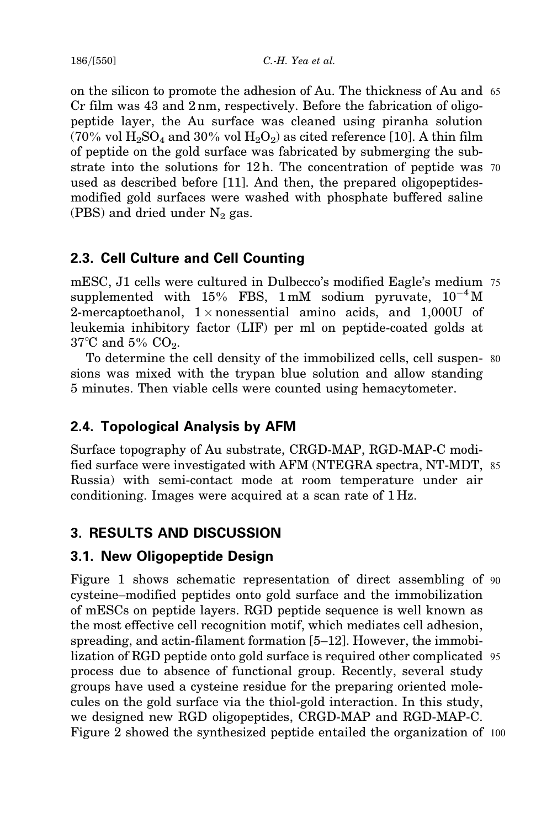$186/[550]$  C.-H. Yea et al.

on the silicon to promote the adhesion of Au. The thickness of Au and 65 Cr film was 43 and 2 nm, respectively. Before the fabrication of oligopeptide layer, the Au surface was cleaned using piranha solution (70% vol  $H_2SO_4$  and 30% vol  $H_2O_2$ ) as cited reference [10]. A thin film of peptide on the gold surface was fabricated by submerging the substrate into the solutions for  $12 h$ . The concentration of peptide was 70 used as described before [11]. And then, the prepared oligopeptidesmodified gold surfaces were washed with phosphate buffered saline (PBS) and dried under  $N_2$  gas.

# 2.3. Cell Culture and Cell Counting

mESC, J1 cells were cultured in Dulbecco's modified Eagle's medium 75 supplemented with 15% FBS, 1 mM sodium pyruvate,  $10^{-4}$  M 2-mercaptoethanol,  $1 \times$ nonessential amino acids, and  $1{,}000U$  of leukemia inhibitory factor (LIF) per ml on peptide-coated golds at  $37^{\circ}$ C and  $5\%$  CO<sub>2</sub>.

To determine the cell density of the immobilized cells, cell suspen- 80 sions was mixed with the trypan blue solution and allow standing 5 minutes. Then viable cells were counted using hemacytometer.

# 2.4. Topological Analysis by AFM

Surface topography of Au substrate, CRGD-MAP, RGD-MAP-C modified surface were investigated with AFM (NTEGRA spectra, NT-MDT, 85 Russia) with semi-contact mode at room temperature under air conditioning. Images were acquired at a scan rate of 1 Hz.

# 3. RESULTS AND DISCUSSION

# 3.1. New Oligopeptide Design

Figure 1 shows schematic representation of direct assembling of 90 cysteine–modified peptides onto gold surface and the immobilization of mESCs on peptide layers. RGD peptide sequence is well known as the most effective cell recognition motif, which mediates cell adhesion, spreading, and actin-filament formation [5–12]. However, the immobilization of RGD peptide onto gold surface is required other complicated 95 process due to absence of functional group. Recently, several study groups have used a cysteine residue for the preparing oriented molecules on the gold surface via the thiol-gold interaction. In this study, we designed new RGD oligopeptides, CRGD-MAP and RGD-MAP-C. Figure 2 showed the synthesized peptide entailed the organization of 100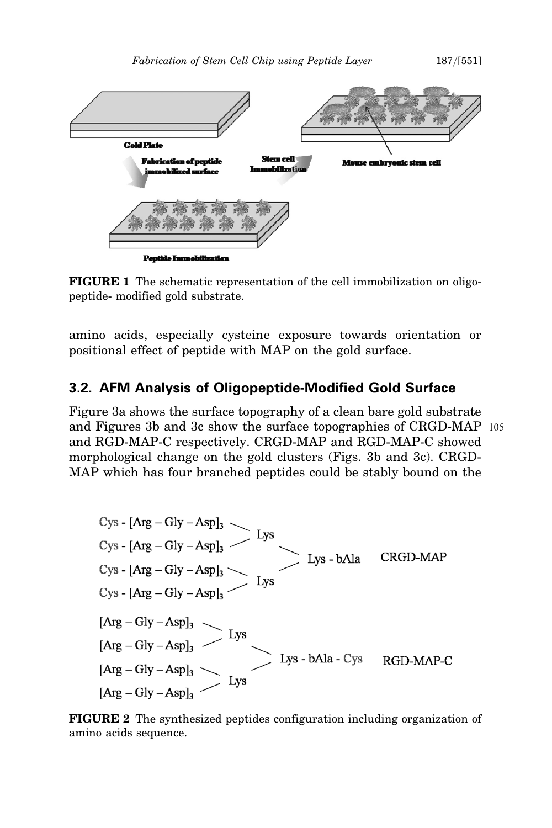

FIGURE 1 The schematic representation of the cell immobilization on oligopeptide- modified gold substrate.

amino acids, especially cysteine exposure towards orientation or positional effect of peptide with MAP on the gold surface.

## 3.2. AFM Analysis of Oligopeptide-Modified Gold Surface

Figure 3a shows the surface topography of a clean bare gold substrate and Figures 3b and 3c show the surface topographies of CRGD-MAP 105 and RGD-MAP-C respectively. CRGD-MAP and RGD-MAP-C showed morphological change on the gold clusters (Figs. 3b and 3c). CRGD-MAP which has four branched peptides could be stably bound on the

FIGURE 2 The synthesized peptides configuration including organization of amino acids sequence.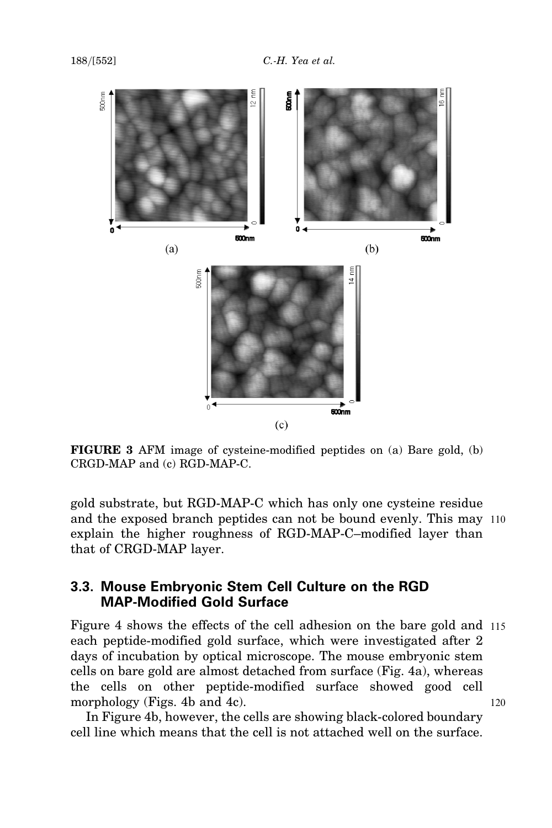

FIGURE 3 AFM image of cysteine-modified peptides on (a) Bare gold, (b) CRGD-MAP and (c) RGD-MAP-C.

gold substrate, but RGD-MAP-C which has only one cysteine residue and the exposed branch peptides can not be bound evenly. This may 110 explain the higher roughness of RGD-MAP-C–modified layer than that of CRGD-MAP layer.

### 3.3. Mouse Embryonic Stem Cell Culture on the RGD MAP-Modified Gold Surface

Figure 4 shows the effects of the cell adhesion on the bare gold and 115 each peptide-modified gold surface, which were investigated after 2 days of incubation by optical microscope. The mouse embryonic stem cells on bare gold are almost detached from surface (Fig. 4a), whereas the cells on other peptide-modified surface showed good cell morphology (Figs. 4b and 4c). 120

In Figure 4b, however, the cells are showing black-colored boundary cell line which means that the cell is not attached well on the surface.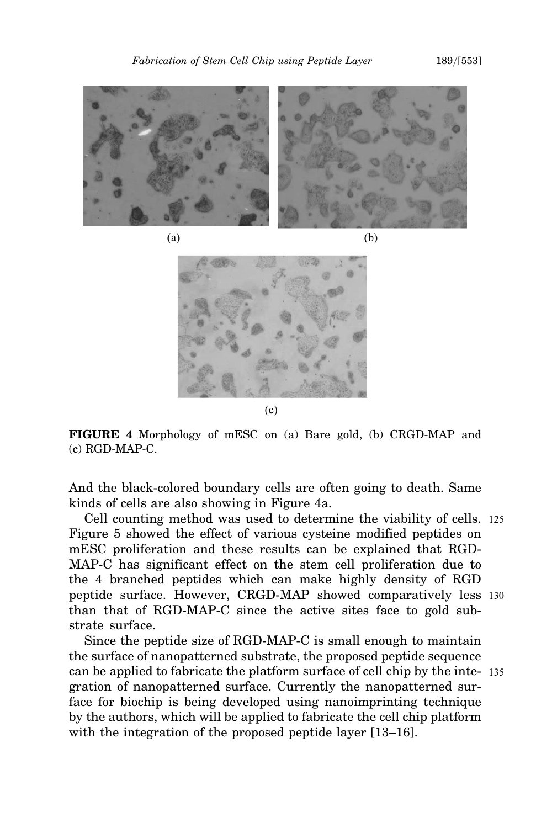

 $(a)$ 

 $(b)$ 



 $(c)$ 

FIGURE 4 Morphology of mESC on (a) Bare gold, (b) CRGD-MAP and (c) RGD-MAP-C.

And the black-colored boundary cells are often going to death. Same kinds of cells are also showing in Figure 4a.

Cell counting method was used to determine the viability of cells. 125 Figure 5 showed the effect of various cysteine modified peptides on mESC proliferation and these results can be explained that RGD-MAP-C has significant effect on the stem cell proliferation due to the 4 branched peptides which can make highly density of RGD peptide surface. However, CRGD-MAP showed comparatively less 130 than that of RGD-MAP-C since the active sites face to gold substrate surface.

Since the peptide size of RGD-MAP-C is small enough to maintain the surface of nanopatterned substrate, the proposed peptide sequence can be applied to fabricate the platform surface of cell chip by the inte- 135 gration of nanopatterned surface. Currently the nanopatterned surface for biochip is being developed using nanoimprinting technique by the authors, which will be applied to fabricate the cell chip platform with the integration of the proposed peptide layer [13–16].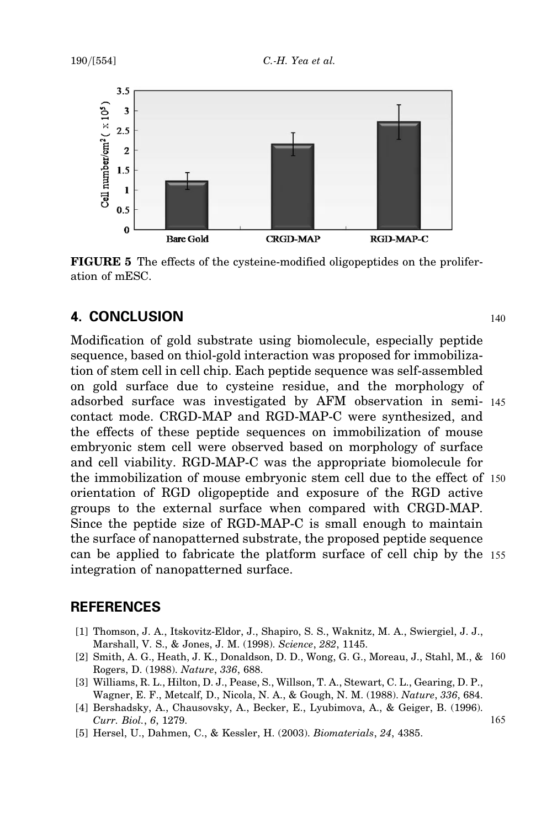

FIGURE 5 The effects of the cysteine-modified oligopeptides on the proliferation of mESC.

# **4. CONCLUSION** 140

Modification of gold substrate using biomolecule, especially peptide sequence, based on thiol-gold interaction was proposed for immobilization of stem cell in cell chip. Each peptide sequence was self-assembled on gold surface due to cysteine residue, and the morphology of adsorbed surface was investigated by AFM observation in semi- 145 contact mode. CRGD-MAP and RGD-MAP-C were synthesized, and the effects of these peptide sequences on immobilization of mouse embryonic stem cell were observed based on morphology of surface and cell viability. RGD-MAP-C was the appropriate biomolecule for the immobilization of mouse embryonic stem cell due to the effect of 150 orientation of RGD oligopeptide and exposure of the RGD active groups to the external surface when compared with CRGD-MAP. Since the peptide size of RGD-MAP-C is small enough to maintain the surface of nanopatterned substrate, the proposed peptide sequence can be applied to fabricate the platform surface of cell chip by the 155 integration of nanopatterned surface.

## REFERENCES

- [1] Thomson, J. A., Itskovitz-Eldor, J., Shapiro, S. S., Waknitz, M. A., Swiergiel, J. J., Marshall, V. S., & Jones, J. M. (1998). Science, 282, 1145.
- [2] Smith, A. G., Heath, J. K., Donaldson, D. D., Wong, G. G., Moreau, J., Stahl, M., & 160 Rogers, D. (1988). Nature, 336, 688.
- [3] Williams, R. L., Hilton, D. J., Pease, S., Willson, T. A., Stewart, C. L., Gearing, D. P., Wagner, E. F., Metcalf, D., Nicola, N. A., & Gough, N. M. (1988). Nature, 336, 684.
- [4] Bershadsky, A., Chausovsky, A., Becker, E., Lyubimova, A., & Geiger, B. (1996).  $Curr. Biol., 6, 1279.$  165
- [5] Hersel, U., Dahmen, C., & Kessler, H. (2003). Biomaterials, 24, 4385.